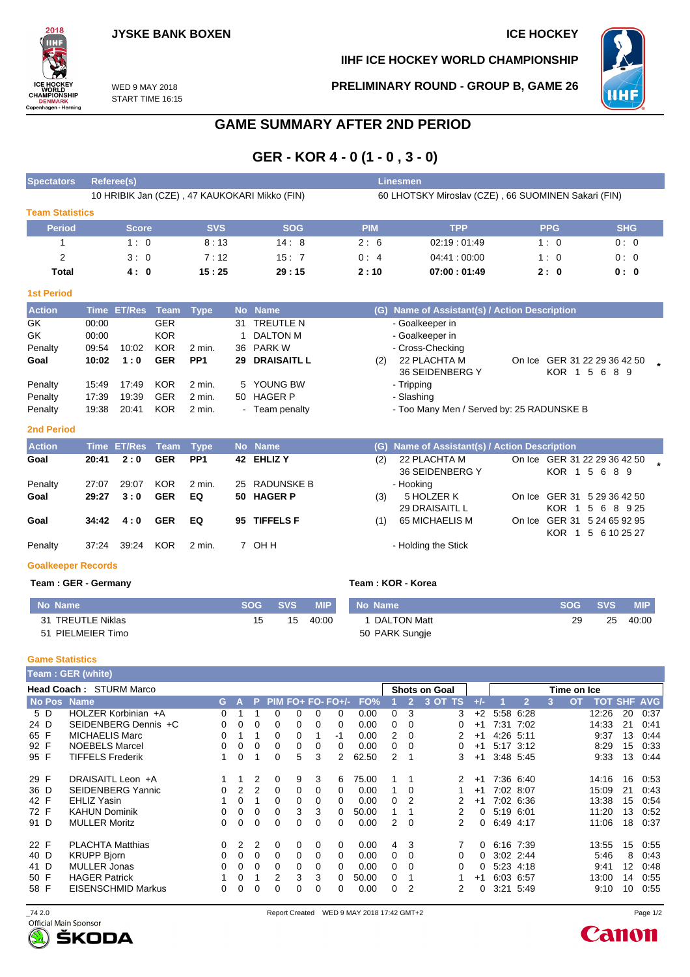**IIHF ICE HOCKEY WORLD CHAMPIONSHIP**

**PRELIMINARY ROUND - GROUP B, GAME 26**



WED 9 MAY 2018 START TIME 16:15

## **GAME SUMMARY AFTER 2ND PERIOD**

# **GER - KOR 4 - 0 (1 - 0 , 3 - 0)**

| <b>Spectators</b>      | Referee(s)                                    |            |            | <b>Linesmen</b>                                     |             |            |            |  |  |  |  |
|------------------------|-----------------------------------------------|------------|------------|-----------------------------------------------------|-------------|------------|------------|--|--|--|--|
|                        | 10 HRIBIK Jan (CZE), 47 KAUKOKARI Mikko (FIN) |            |            | 60 LHOTSKY Miroslav (CZE), 66 SUOMINEN Sakari (FIN) |             |            |            |  |  |  |  |
| <b>Team Statistics</b> |                                               |            |            |                                                     |             |            |            |  |  |  |  |
| <b>Period</b>          | <b>Score</b>                                  | <b>SVS</b> | <b>SOG</b> | <b>PIM</b>                                          | <b>TPP</b>  | <b>PPG</b> | <b>SHG</b> |  |  |  |  |
|                        | 1:0                                           | 8:13       | 14:8       | 2:6                                                 | 02:19:01:49 | 1:0        | 0:0        |  |  |  |  |
| 2                      | 3:0                                           | 7:12       | 15:7       | 0:4                                                 | 04:41:00:00 | 1:0        | 0:0        |  |  |  |  |
| Total                  | 4:0                                           | 15:25      | 29:15      | 2:10                                                | 07:00:01:49 | 2:0        | 0:0        |  |  |  |  |

### **1st Period**

2018

CETTLE<br>ICE HOCKEY<br>CHAMPIONSHIP<br>DENMARK<br>Copenhagen - Herning

| <b>Action</b> |       | Time ET/Res Team Type |            |                 |    | No Name               |     | (G) Name of Assistant(s) / Action Description |                              |  |
|---------------|-------|-----------------------|------------|-----------------|----|-----------------------|-----|-----------------------------------------------|------------------------------|--|
| GK            | 00:00 |                       | <b>GER</b> |                 | 31 | TREUTLE N             |     | - Goalkeeper in                               |                              |  |
| GK            | 00:00 |                       | <b>KOR</b> |                 |    | DALTON M              |     | - Goalkeeper in                               |                              |  |
| Penalty       | 09:54 | 10:02                 | <b>KOR</b> | 2 min.          |    | 36 PARK W             |     | - Cross-Checking                              |                              |  |
| Goal          | 10:02 | 1:0                   | <b>GER</b> | PP <sub>1</sub> |    | <b>29 DRAISAITL L</b> | (2) | 22 PLACHTA M                                  | On Ice GER 31 22 29 36 42 50 |  |
|               |       |                       |            |                 |    |                       |     | 36 SEIDENBERG Y                               | KOR 1 5 6 8 9                |  |
| Penalty       | 15:49 | 17:49                 | KOR        | 2 min.          |    | 5 YOUNG BW            |     | - Tripping                                    |                              |  |
| Penalty       | 17:39 | 19:39                 | <b>GER</b> | 2 min.          |    | 50 HAGER P            |     | - Slashing                                    |                              |  |
| Penalty       | 19:38 | 20:41                 | <b>KOR</b> | $2$ min.        |    | Team penalty          |     | - Too Many Men / Served by: 25 RADUNSKE B     |                              |  |

### **2nd Period**

| <b>Action</b> |       | Time ET/Res Team Type |            |                 | No Name       |     | (G) Name of Assistant(s) / Action Description |                                                   |
|---------------|-------|-----------------------|------------|-----------------|---------------|-----|-----------------------------------------------|---------------------------------------------------|
| Goal          | 20:41 | 2:0                   | <b>GER</b> | PP <sub>1</sub> | 42 EHLIZ Y    | (2) | 22 PLACHTA M<br>36 SEIDENBERG Y               | On Ice GER 31 22 29 36 42 50<br>KOR 1 5 6 8 9     |
| Penalty       | 27:07 | 29:07                 | KOR        | 2 min.          | 25 RADUNSKE B |     | - Hooking                                     |                                                   |
| Goal          | 29:27 | 3:0                   | <b>GER</b> | EQ              | 50 HAGER P    | (3) | 5 HOLZER K<br>29 DRAISAITL L                  | On Ice GER 31 5 29 36 42 50<br>KOR 1 5 6 8 9 25   |
| Goal          | 34:42 | 4:0                   | <b>GER</b> | EQ              | 95 TIFFELS F  | (1) | 65 MICHAELIS M                                | On Ice GER 31 5 24 65 92 95<br>KOR 1 5 6 10 25 27 |
| Penalty       | 37.24 | 39:24                 | <b>KOR</b> | 2 min.          | 7 OHH         |     | - Holding the Stick                           |                                                   |

## **Goalkeeper Records**

### **Team : GER - Germany Team : KOR - Korea**

| No Name           | <b>SOG</b> | SVS/ | <b>MIP</b> | No Name        | <b>SOG</b> | SVS. | <b>MIP</b> |
|-------------------|------------|------|------------|----------------|------------|------|------------|
| 31 TREUTLE Niklas | 15         | 15   | 40:00      | 1 DALTON Matt  | 29         | 25   | 40:00      |
| 51 PIELMEIER Timo |            |      |            | 50 PARK Sungje |            |      |            |

## **Game Statistics**

|      |     | Team: GER (white)              |   |      |    |          |   |          |                     |       |                |          |                      |       |             |              |   |                         |    |   |                |
|------|-----|--------------------------------|---|------|----|----------|---|----------|---------------------|-------|----------------|----------|----------------------|-------|-------------|--------------|---|-------------------------|----|---|----------------|
|      |     | <b>Head Coach: STURM Marco</b> |   |      |    |          |   |          |                     |       |                |          | <b>Shots on Goal</b> |       | Time on Ice |              |   |                         |    |   |                |
|      |     | No Pos Name                    |   | 'GA. | P. |          |   |          | $PIM FO+ FO- FO+/-$ | FO%   |                | 2        | 3 OT'<br>TS          | $+/-$ |             | $\mathbf{2}$ | 3 | <b>TOT</b><br><b>OT</b> |    |   | <b>SHF AVG</b> |
|      | 5 D | HOLZER Korbinian +A            | 0 |      |    | 0        | 0 | 0        | 0                   | 0.00  | 0              | 3        | 3                    | $+2$  |             | 5.58 6.28    |   | 12:26                   | 20 |   | 0:37           |
| 24 D |     | SEIDENBERG Dennis +C           |   | 0    | 0  | 0        | 0 | 0        | 0                   | 0.00  | 0              | 0        | 0                    | $+1$  |             | 7:31 7:02    |   | 14:33                   | 21 |   | 0:41           |
| 65 F |     | <b>MICHAELIS Marc</b>          | 0 |      |    | 0        | 0 |          | -1                  | 0.00  | 2              | $\Omega$ | 2                    | $+1$  | 4:26 5:11   |              |   | 9:37                    | 13 |   | 0:44           |
| 92 F |     | <b>NOEBELS Marcel</b>          | 0 | 0    | 0  | 0        | 0 | 0        | 0                   | 0.00  | 0              | $\Omega$ | 0                    | $+1$  |             | 5:17 3:12    |   | 8:29                    | 15 |   | 0:33           |
| 95 F |     | <b>TIFFELS Frederik</b>        |   | 0    |    | $\Omega$ | 5 | 3        | 2                   | 62.50 | 2              | 1        | 3                    | $+1$  |             | 3:48 5:45    |   | 9:33                    | 13 |   | 0:44           |
| 29 F |     | DRAISAITL Leon +A              |   |      | 2  | 0        | 9 | 3        | 6                   | 75.00 |                |          | $\mathcal{P}$        | $+1$  |             | 7:36 6:40    |   | 14:16                   | 16 |   | 0.53           |
| 36 D |     | <b>SEIDENBERG Yannic</b>       | 0 | 2    | 2  | 0        | 0 | $\Omega$ | 0                   | 0.00  |                | $\Omega$ |                      | $+1$  |             | 7:02 8:07    |   | 15:09                   | 21 |   | 0:43           |
| 42 F |     | <b>EHLIZ Yasin</b>             |   | 0    |    | 0        | 0 | 0        | 0                   | 0.00  | 0              |          |                      | $+1$  |             | 7:02 6:36    |   | 13:38                   | 15 |   | 0:54           |
| 72 F |     | <b>KAHUN Dominik</b>           | 0 | 0    | 0  | $\Omega$ | 3 | 3        | 0                   | 50.00 |                |          |                      | 0     | 5:19 6:01   |              |   | 11:20                   | 13 |   | 0:52           |
| 91 D |     | <b>MULLER Moritz</b>           | 0 | 0    | 0  | 0        | 0 | 0        | 0                   | 0.00  | $\overline{2}$ | $\Omega$ | 2                    | 0     | 6:49 4:17   |              |   | 11:06                   | 18 |   | 0:37           |
| 22 F |     | <b>PLACHTA Matthias</b>        | 0 | 2    | 2  | $\Omega$ | 0 | 0        | 0                   | 0.00  | 4              | 3        |                      | 0     |             | 6:16 7:39    |   | 13:55                   | 15 |   | 0:55           |
| 40 D |     | <b>KRUPP Bjorn</b>             | 0 | 0    | 0  | 0        | 0 | 0        | 0                   | 0.00  | 0              | 0        | 0                    | 0     |             | $3:02$ 2:44  |   | 5:46                    |    | 8 | 0:43           |
| 41 D |     | <b>MULLER Jonas</b>            | 0 | 0    | 0  | $\Omega$ | 0 | 0        | 0                   | 0.00  | 0              | $\Omega$ | 0                    | 0     |             | 5:23 4:18    |   | 9:41                    | 12 |   | 0:48           |
| 50 F |     | <b>HAGER Patrick</b>           |   | 0    |    | 2        | 3 | 3        | 0                   | 50.00 | 0              |          |                      | $+1$  | 6:03 6:57   |              |   | 13:00                   | 14 |   | 0:55           |
| 58 F |     | <b>EISENSCHMID Markus</b>      | 0 | 0    | 0  | 0        | 0 | 0        | 0                   | 0.00  | 0              | 2        |                      | 0     |             | 3:21 5:49    |   | 9:10                    | 10 |   | 0:55           |